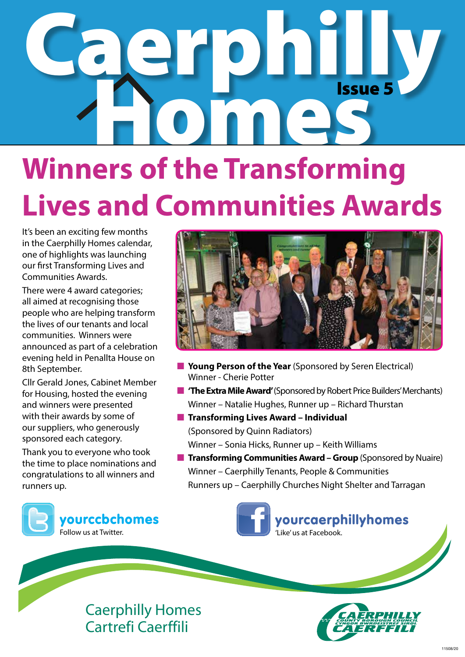# Caerphilly **COMPASSION** Issue 5

### **Winners of the Transforming Lives and Communities Awards**

It's been an exciting few months in the Caerphilly Homes calendar, one of highlights was launching our first Transforming Lives and Communities Awards.

There were 4 award categories; all aimed at recognising those people who are helping transform the lives of our tenants and local communities. Winners were announced as part of a celebration evening held in Penallta House on 8th September.

Cllr Gerald Jones, Cabinet Member for Housing, hosted the evening and winners were presented with their awards by some of our suppliers, who generously sponsored each category.

Thank you to everyone who took the time to place nominations and congratulations to all winners and runners up.



- **n** Young Person of the Year (Sponsored by Seren Electrical) Winner - Cherie Potter
- **n** 'The Extra Mile Award' (Sponsored by Robert Price Builders' Merchants) Winner – Natalie Hughes, Runner up – Richard Thurstan
- **n** Transforming Lives Award Individual (Sponsored by Quinn Radiators) Winner – Sonia Hicks, Runner up – Keith Williams
- **n Transforming Communities Award Group** (Sponsored by Nuaire) Winner – Caerphilly Tenants, People & Communities Runners up – Caerphilly Churches Night Shelter and Tarragan







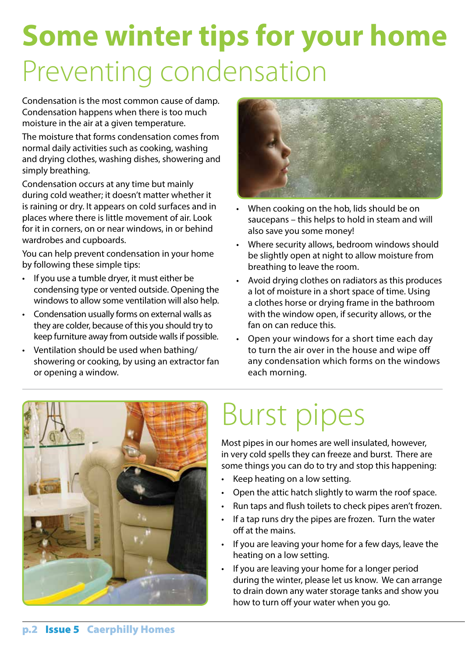### **Some winter tips for your home** Preventing condensation

Condensation is the most common cause of damp. Condensation happens when there is too much moisture in the air at a given temperature.

The moisture that forms condensation comes from normal daily activities such as cooking, washing and drying clothes, washing dishes, showering and simply breathing.

Condensation occurs at any time but mainly during cold weather; it doesn't matter whether it is raining or dry. It appears on cold surfaces and in places where there is little movement of air. Look for it in corners, on or near windows, in or behind wardrobes and cupboards.

You can help prevent condensation in your home by following these simple tips:

- • If you use a tumble dryer, it must either be condensing type or vented outside. Opening the windows to allow some ventilation will also help.
- Condensation usually forms on external walls as they are colder, because of this you should try to keep furniture away from outside walls if possible.
- Ventilation should be used when bathing/ showering or cooking, by using an extractor fan or opening a window.



- When cooking on the hob, lids should be on saucepans – this helps to hold in steam and will also save you some money!
- Where security allows, bedroom windows should be slightly open at night to allow moisture from breathing to leave the room.
- Avoid drying clothes on radiators as this produces a lot of moisture in a short space of time. Using a clothes horse or drying frame in the bathroom with the window open, if security allows, or the fan on can reduce this.
- Open your windows for a short time each day to turn the air over in the house and wipe off any condensation which forms on the windows each morning.



## Burst pipes

Most pipes in our homes are well insulated, however, in very cold spells they can freeze and burst. There are some things you can do to try and stop this happening:

- Keep heating on a low setting.
- Open the attic hatch slightly to warm the roof space.
- Run taps and flush toilets to check pipes aren't frozen.
- If a tap runs dry the pipes are frozen. Turn the water off at the mains.
- If you are leaving your home for a few days, leave the heating on a low setting.
- If you are leaving your home for a longer period during the winter, please let us know. We can arrange to drain down any water storage tanks and show you how to turn off your water when you go.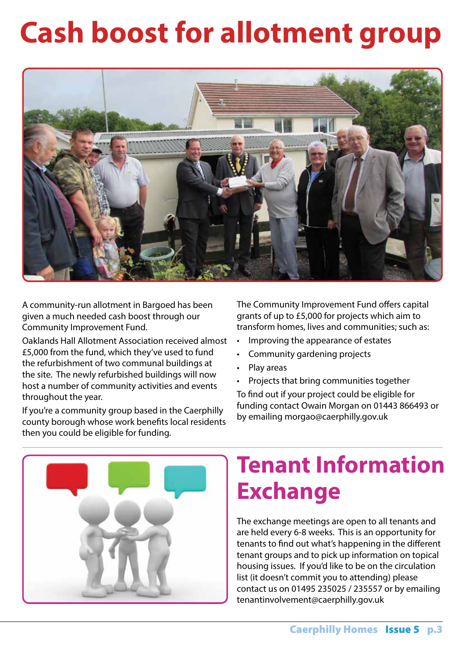### **Cash boost for allotment group**



A community-run allotment in Bargoed has been given a much needed cash boost through our Community Improvement Fund.

Oaklands Hall Allotment Association received almost £5,000 from the fund, which they've used to fund the refurbishment of two communal buildings at the site. The newly refurbished buildings will now host a number of community activities and events throughout the year.

If you're a community group based in the Caerphilly county borough whose work benefits local residents then you could be eligible for funding.

The Community Improvement Fund offers capital grants of up to £5,000 for projects which aim to transform homes, lives and communities; such as:

- • Improving the appearance of estates
- • Community gardening projects
- Play areas
- • Projects that bring communities together

To find out if your project could be eligible for funding contact Owain Morgan on 01443 866493 or by emailing morgao@caerphilly.gov.uk



#### **Tenant Information Exchange**

The exchange meetings are open to all tenants and are held every 6-8 weeks. This is an opportunity for tenants to find out what's happening in the different tenant groups and to pick up information on topical housing issues. If you'd like to be on the circulation list (it doesn't commit you to attending) please contact us on 01495 235025 / 235557 or by emailing tenantinvolvement@caerphilly.gov.uk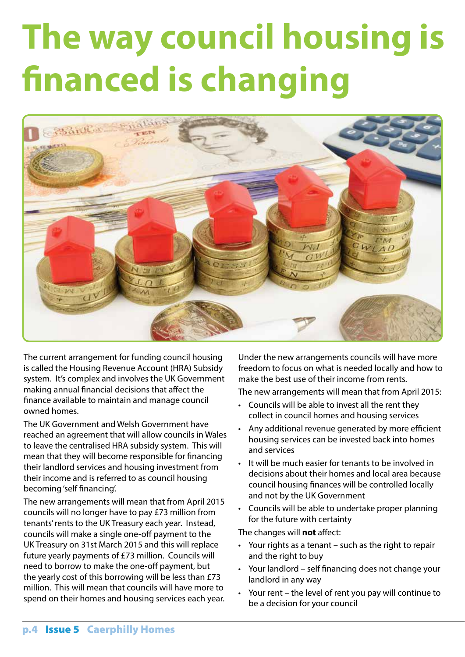## **The way council housing is financed is changing**



The current arrangement for funding council housing is called the Housing Revenue Account (HRA) Subsidy system. It's complex and involves the UK Government making annual financial decisions that affect the finance available to maintain and manage council owned homes.

The UK Government and Welsh Government have reached an agreement that will allow councils in Wales to leave the centralised HRA subsidy system. This will mean that they will become responsible for financing their landlord services and housing investment from their income and is referred to as council housing becoming 'self financing'.

The new arrangements will mean that from April 2015 councils will no longer have to pay £73 million from tenants' rents to the UK Treasury each year. Instead, councils will make a single one-off payment to the UK Treasury on 31st March 2015 and this will replace future yearly payments of £73 million. Councils will need to borrow to make the one-off payment, but the yearly cost of this borrowing will be less than £73 million. This will mean that councils will have more to spend on their homes and housing services each year. Under the new arrangements councils will have more freedom to focus on what is needed locally and how to make the best use of their income from rents.

The new arrangements will mean that from April 2015:

- • Councils will be able to invest all the rent they collect in council homes and housing services
- Any additional revenue generated by more efficient housing services can be invested back into homes and services
- It will be much easier for tenants to be involved in decisions about their homes and local area because council housing finances will be controlled locally and not by the UK Government
- • Councils will be able to undertake proper planning for the future with certainty

The changes will **not** affect:

- • Your rights as a tenant such as the right to repair and the right to buy
- Your landlord self financing does not change your landlord in any way
- • Your rent the level of rent you pay will continue to be a decision for your council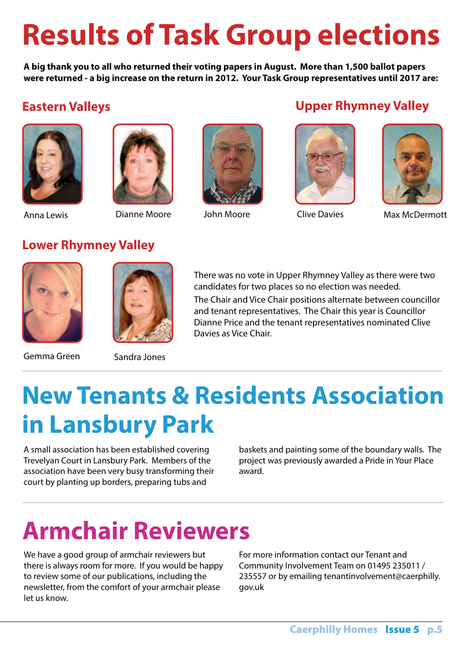### **Results of Task Group elections**

**A big thank you to all who returned their voting papers in August. More than 1,500 ballot papers were returned - a big increase on the return in 2012. Your Task Group representatives until 2017 are:**





#### **Eastern Valleys Upper Rhymney Valley**





Anna Lewis Dianne Moore John Moore Clive Davies Max McDermott

#### **Lower Rhymney Valley**



Gemma Green Sandra Jones

There was no vote in Upper Rhymney Valley as there were two candidates for two places so no election was needed.

The Chair and Vice Chair positions alternate between councillor and tenant representatives. The Chair this year is Councillor Dianne Price and the tenant representatives nominated Clive Davies as Vice Chair.

### **New Tenants & Residents Association in Lansbury Park**

A small association has been established covering Trevelyan Court in Lansbury Park. Members of the association have been very busy transforming their court by planting up borders, preparing tubs and

baskets and painting some of the boundary walls. The project was previously awarded a Pride in Your Place award.

#### **Armchair Reviewers**

We have a good group of armchair reviewers but there is always room for more. If you would be happy to review some of our publications, including the newsletter, from the comfort of your armchair please let us know.

For more information contact our Tenant and Community Involvement Team on 01495 235011 / 235557 or by emailing tenantinvolvement@caerphilly. gov.uk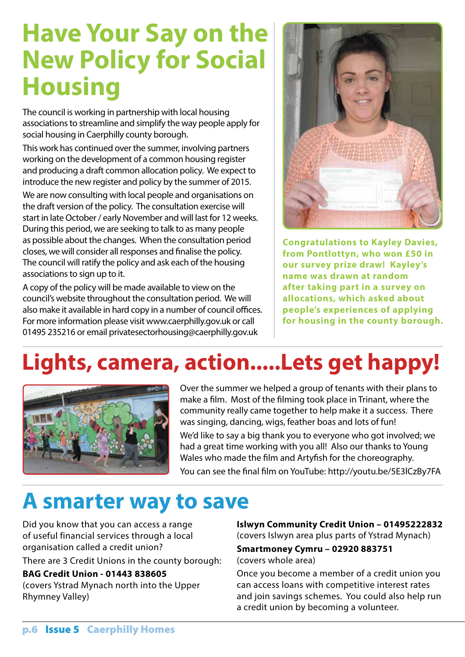#### **Have Your Say on the New Policy for Social Housing**

The council is working in partnership with local housing associations to streamline and simplify the way people apply for social housing in Caerphilly county borough.

This work has continued over the summer, involving partners working on the development of a common housing register and producing a draft common allocation policy. We expect to introduce the new register and policy by the summer of 2015.

We are now consulting with local people and organisations on the draft version of the policy. The consultation exercise will start in late October / early November and will last for 12 weeks. During this period, we are seeking to talk to as many people as possible about the changes. When the consultation period closes, we will consider all responses and finalise the policy. The council will ratify the policy and ask each of the housing associations to sign up to it.

A copy of the policy will be made available to view on the council's website throughout the consultation period. We will also make it available in hard copy in a number of council offices. For more information please visit www.caerphilly.gov.uk or call 01495 235216 or email privatesectorhousing@caerphilly.gov.uk



**Congratulations to Kayley Davies, from Pontlottyn, who won £50 in our survey prize draw! Kayley's name was drawn at random after taking part in a survey on allocations, which asked about people's experiences of applying for housing in the county borough.**

#### **Lights, camera, action.....Lets get happy!**



Over the summer we helped a group of tenants with their plans to make a film. Most of the filming took place in Trinant, where the community really came together to help make it a success. There was singing, dancing, wigs, feather boas and lots of fun!

We'd like to say a big thank you to everyone who got involved; we had a great time working with you all! Also our thanks to Young Wales who made the film and Artyfish for the choreography.

You can see the final film on YouTube: http://youtu.be/5E3lCzBy7FA

#### **A smarter way to save**

Did you know that you can access a range of useful financial services through a local organisation called a credit union?

There are 3 Credit Unions in the county borough:

**BAG Credit Union - 01443 838605** (covers Ystrad Mynach north into the Upper **Islwyn Community Credit Union – 01495222832** (covers Islwyn area plus parts of Ystrad Mynach)

**Smartmoney Cymru – 02920 883751** (covers whole area)

Once you become a member of a credit union you can access loans with competitive interest rates and join savings schemes. You could also help run a credit union by becoming a volunteer.

Rhymney Valley)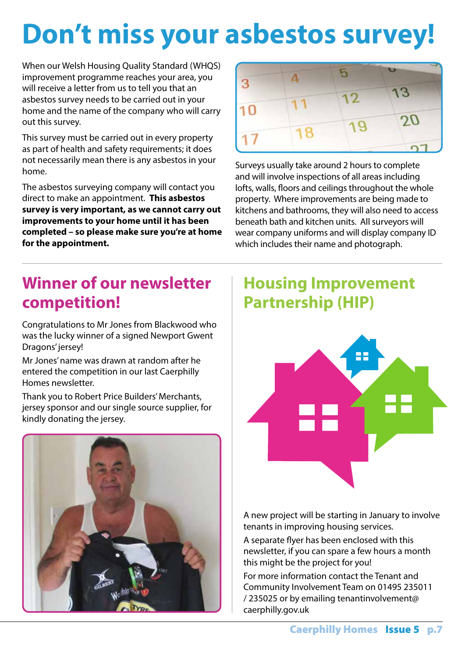### **Don't miss your asbestos survey!**

When our Welsh Housing Quality Standard (WHQS) improvement programme reaches your area, you will receive a letter from us to tell you that an asbestos survey needs to be carried out in your home and the name of the company who will carry out this survey.

This survey must be carried out in every property as part of health and safety requirements; it does not necessarily mean there is any asbestos in your home.

The asbestos surveying company will contact you direct to make an appointment. **This asbestos survey is very important, as we cannot carry out improvements to your home until it has been completed – so please make sure you're at home for the appointment.**



Surveys usually take around 2 hours to complete and will involve inspections of all areas including lofts, walls, floors and ceilings throughout the whole property. Where improvements are being made to kitchens and bathrooms, they will also need to access beneath bath and kitchen units. All surveyors will wear company uniforms and will display company ID which includes their name and photograph.

#### **Winner of our newsletter competition!**

Congratulations to Mr Jones from Blackwood who was the lucky winner of a signed Newport Gwent Dragons' jersey!

Mr Jones' name was drawn at random after he entered the competition in our last Caerphilly Homes newsletter.

Thank you to Robert Price Builders' Merchants, jersey sponsor and our single source supplier, for kindly donating the jersey.



#### **Housing Improvement Partnership (HIP)**



A new project will be starting in January to involve tenants in improving housing services.

A separate flyer has been enclosed with this newsletter, if you can spare a few hours a month this might be the project for you!

For more information contact the Tenant and Community Involvement Team on 01495 235011 / 235025 or by emailing tenantinvolvement@ caerphilly.gov.uk